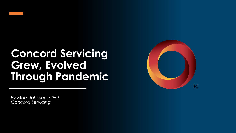

## **Concord Servicing Grew, Evolved Through Pandemic**

*By Mark Johnson, CEO Concord Servicing*

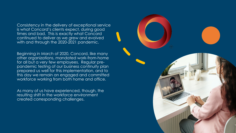Consistency in the delivery of exceptional service is what Concord's clients expect, during good times and bad. This is exactly what Concord continued to deliver as we grew and evolved with and through the 2020-2021 pandemic.

Beginning in March of 2020, Concord, like many other organizations, mandated work-from-home for all but a very few employees. Regular prepandemic testing of our business continuity plan prepared us well for this implementation, and to this day we remain an engaged and committed workforce working from both home and office.

As many of us have experienced, though, the resulting shift in the workforce environment created corresponding challenges.

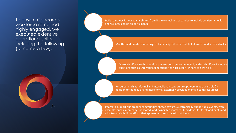To ensure Concord's workforce remained highly engaged, we executed extensive operational shifts, including the following (to name a few):



Daily stand-ups for our teams shifted from live to virtual and expanded to include consistent health and wellness checks on participants.

Monthly and quarterly meetings of leadership still occurred, but all were conducted virtually.

Outreach efforts to the workforce were consistently conducted, with such efforts including questions such as "Are you feeling supported? Isolated? Where can we help?"

Resources such as informal and internally-run support groups were made available (in addition to the regular and more formal externally-provided mental health resources).

Efforts to support our broader communities shifted towards electronically-supportable events, with examples such as company-sponsored (and ownership-matched) fund drives for local food banks and adopt-a-family holiday efforts that approached record-level contributions.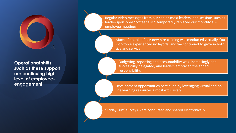

**Operational shifts such as these support our continuing high level of employeeengagement.** 

Regular video messages from our senior-most leaders, and sessions such as leader-sponsored "coffee talks," temporarily replaced our monthly allemployee meetings.

Much, if not all, of our new hire training was conducted virtually. Our workforce experienced no layoffs, and we continued to grow in both size and service.

Budgeting, reporting and accountability was increasingly and successfully delegated, and leaders embraced the added responsibility.

Development opportunities continued by leveraging virtual and online learning resources almost exclusively.

"Friday Fun" surveys were conducted and shared electronically.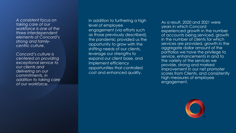*A consistent focus on taking care of our workforce is one of the three interdependent elements of Concord's strong and family centric culture.* 

*Concord's culture is centered on providing exceptional service to our clients and delivering on our commitments, in addition to taking care of our workforce.*

In addition to furthering a high level of employee engagement (via efforts such as those previously described), the pandemic provided us the opportunity to grow with the shifting needs of our clients, leverage our strengths to expand our client base, and implement efficiency opportunities that controlled cost and enhanced quality.

As a result, 2020 and 2021 were years in which Concord experienced growth in the number of accounts being serviced, growth in the number of clients for which services are provided, growth in the aggregate dollar amount of the portfolios we have the privilege to service, enhancements in and to the variety of the services we provide, strong and marked improvement in our net promoter scores from Clients, and consistently high measures of employee engagement.

![](_page_4_Picture_4.jpeg)